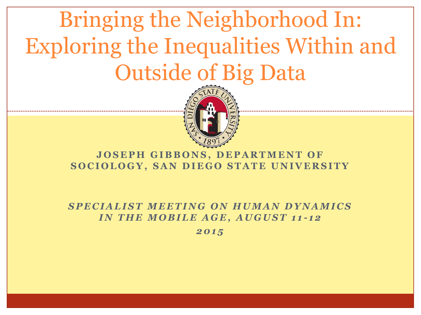



#### **JOSEPH GIBBONS, DEPARTMENT OF SOCIOLOGY, SAN DIEGO STATE UNIVERSITY**

*SPECIALIST MEETING ON HUMAN DYNAMICS IN THE MOBILE AGE, AUGUST 11-12* 

*2 0 1 5*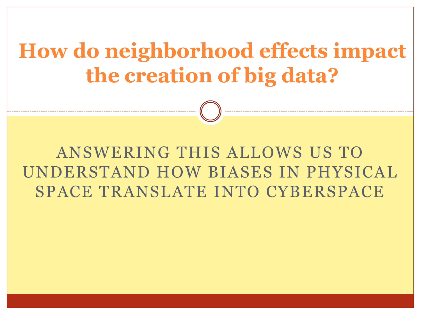## **How do neighborhood effects impact the creation of big data?**

### ANSWERING THIS ALLOWS US TO UNDERSTAND HOW BIASES IN PHYSICAL SPACE TRANSLATE INTO CYBERSPACE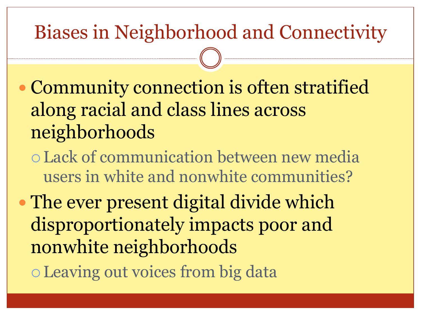### Biases in Neighborhood and Connectivity

- Community connection is often stratified along racial and class lines across neighborhoods
	- Lack of communication between new media users in white and nonwhite communities?
- The ever present digital divide which disproportionately impacts poor and nonwhite neighborhoods Leaving out voices from big data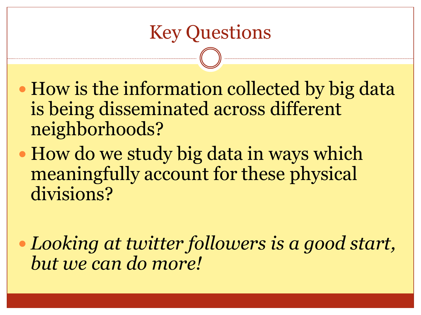- How is the information collected by big data is being disseminated across different neighborhoods?
- How do we study big data in ways which meaningfully account for these physical divisions?
- *Looking at twitter followers is a good start, but we can do more!*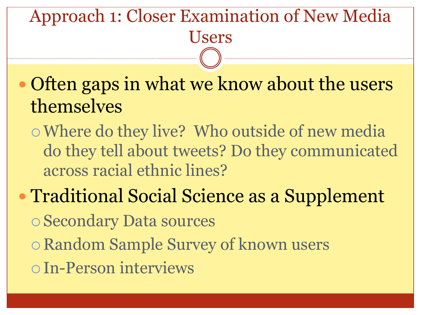#### Approach 1: Closer Examination of New Media Users

• Often gaps in what we know about the users themselves

Where do they live? Who outside of new media do they tell about tweets? Do they communicated across racial ethnic lines?

# • Traditional Social Science as a Supplement

Secondary Data sources

- Random Sample Survey of known users
- In-Person interviews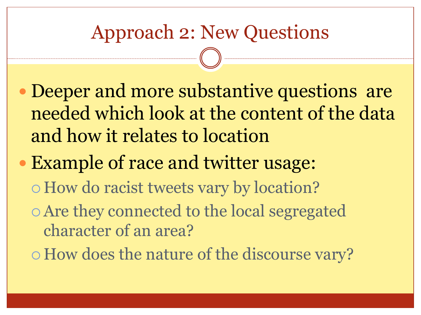### Approach 2: New Questions

- Deeper and more substantive questions are needed which look at the content of the data and how it relates to location
- Example of race and twitter usage:
	- How do racist tweets vary by location?
	- Are they connected to the local segregated character of an area?
	- How does the nature of the discourse vary?